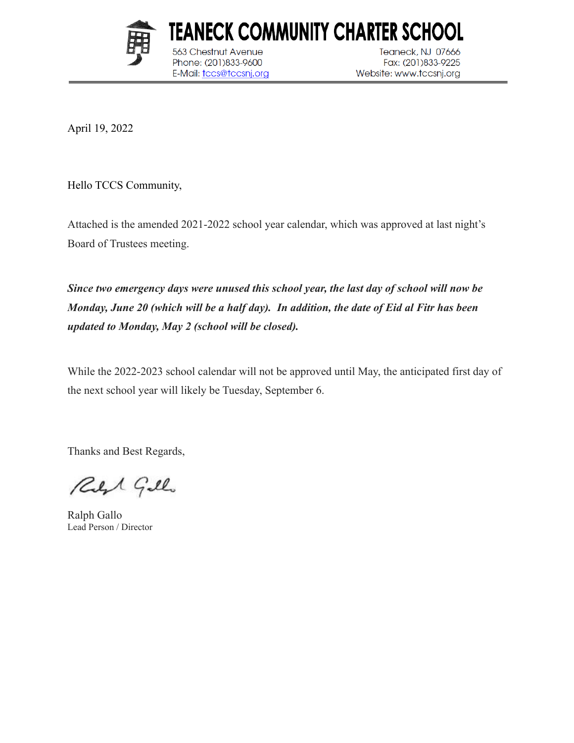

563 Chestnut Avenue

Phone: (201)833-9600

E-Mail: tccs@tccsnj.org

Teaneck, NJ 07666 Fax: (201)833-9225 Website: www.tccsnj.org

April 19, 2022

Hello TCCS Community,

Attached is the amended 2021-2022 school year calendar, which was approved at last night's Board of Trustees meeting.

TEANECK COMMUNITY CHARTER SCHOOL

*Since two emergency days were unused this school year, the last day of school will now be Monday, June 20 (which will be a half day). In addition, the date of Eid al Fitr has been updated to Monday, May 2 (school will be closed).*

While the 2022-2023 school calendar will not be approved until May, the anticipated first day of the next school year will likely be Tuesday, September 6.

Thanks and Best Regards,

Red Gillo

Ralph Gallo Lead Person / Director